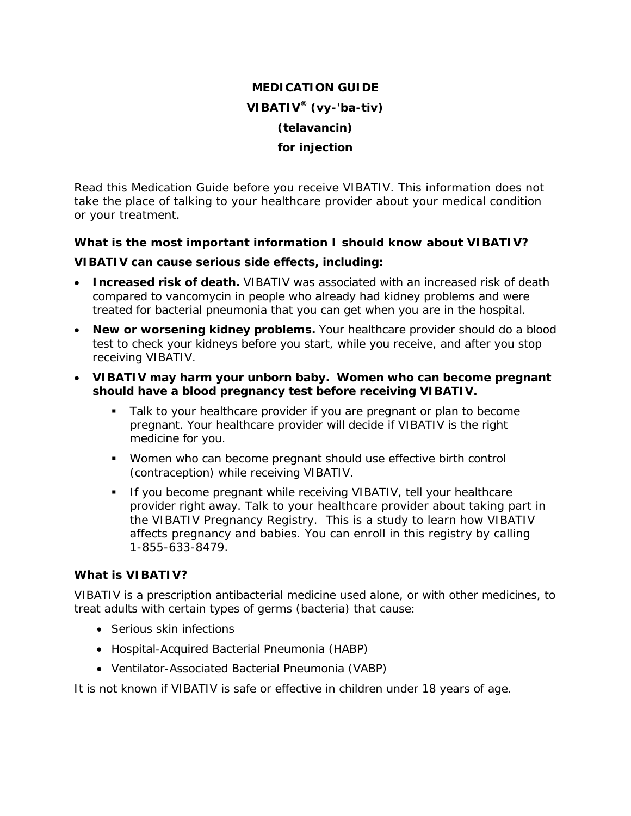# **MEDICATION GUIDE VIBATIV® (vy-'ba-tiv) (telavancin) for injection**

Read this Medication Guide before you receive VIBATIV. This information does not take the place of talking to your healthcare provider about your medical condition or your treatment.

## **What is the most important information I should know about VIBATIV?**

### **VIBATIV can cause serious side effects, including:**

- **Increased risk of death.** VIBATIV was associated with an increased risk of death compared to vancomycin in people who already had kidney problems and were treated for bacterial pneumonia that you can get when you are in the hospital.
- **New or worsening kidney problems.** Your healthcare provider should do a blood test to check your kidneys before you start, while you receive, and after you stop receiving VIBATIV.
- **VIBATIV may harm your unborn baby. Women who can become pregnant should have a blood pregnancy test before receiving VIBATIV.**
	- Talk to your healthcare provider if you are pregnant or plan to become pregnant. Your healthcare provider will decide if VIBATIV is the right medicine for you.
	- Women who can become pregnant should use effective birth control (contraception) while receiving VIBATIV.
	- **If you become pregnant while receiving VIBATIV, tell your healthcare** provider right away. Talk to your healthcare provider about taking part in the VIBATIV Pregnancy Registry. This is a study to learn how VIBATIV affects pregnancy and babies. You can enroll in this registry by calling 1-855-633-8479.

## **What is VIBATIV?**

VIBATIV is a prescription antibacterial medicine used alone, or with other medicines, to treat adults with certain types of germs (bacteria) that cause:

- Serious skin infections
- Hospital-Acquired Bacterial Pneumonia (HABP)
- Ventilator-Associated Bacterial Pneumonia (VABP)

It is not known if VIBATIV is safe or effective in children under 18 years of age.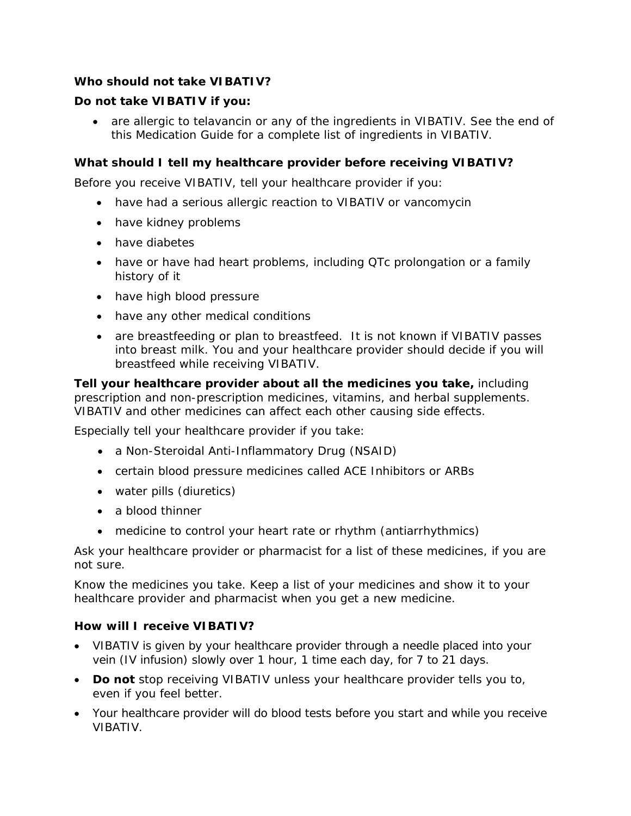# **Who should not take VIBATIV?**

# **Do not take VIBATIV if you:**

 are allergic to telavancin or any of the ingredients in VIBATIV. See the end of this Medication Guide for a complete list of ingredients in VIBATIV.

# **What should I tell my healthcare provider before receiving VIBATIV?**

Before you receive VIBATIV, tell your healthcare provider if you:

- have had a serious allergic reaction to VIBATIV or vancomycin
- have kidney problems
- have diabetes
- have or have had heart problems, including QTc prolongation or a family history of it
- have high blood pressure
- have any other medical conditions
- are breastfeeding or plan to breastfeed. It is not known if VIBATIV passes into breast milk. You and your healthcare provider should decide if you will breastfeed while receiving VIBATIV.

**Tell your healthcare provider about all the medicines you take,** including prescription and non-prescription medicines, vitamins, and herbal supplements. VIBATIV and other medicines can affect each other causing side effects.

Especially tell your healthcare provider if you take:

- a Non-Steroidal Anti-Inflammatory Drug (NSAID)
- certain blood pressure medicines called ACE Inhibitors or ARBs
- water pills (diuretics)
- a blood thinner
- medicine to control your heart rate or rhythm (antiarrhythmics)

Ask your healthcare provider or pharmacist for a list of these medicines, if you are not sure.

Know the medicines you take. Keep a list of your medicines and show it to your healthcare provider and pharmacist when you get a new medicine.

### **How will I receive VIBATIV?**

- VIBATIV is given by your healthcare provider through a needle placed into your vein (IV infusion) slowly over 1 hour, 1 time each day, for 7 to 21 days.
- **Do not** stop receiving VIBATIV unless your healthcare provider tells you to, even if you feel better.
- Your healthcare provider will do blood tests before you start and while you receive VIBATIV.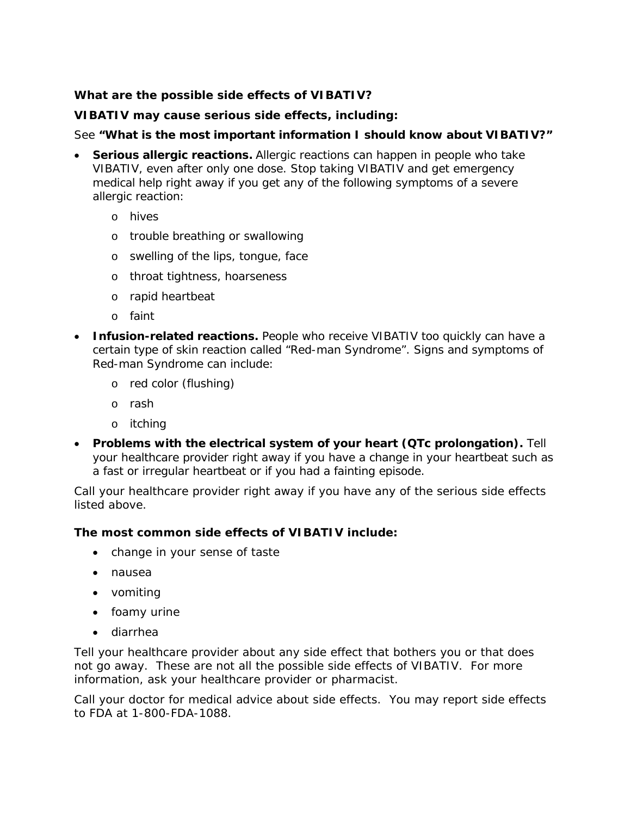# **What are the possible side effects of VIBATIV?**

## **VIBATIV may cause serious side effects, including:**

## See **"What is the most important information I should know about VIBATIV?"**

- **Serious allergic reactions.** Allergic reactions can happen in people who take VIBATIV, even after only one dose. Stop taking VIBATIV and get emergency medical help right away if you get any of the following symptoms of a severe allergic reaction:
	- o hives
	- o trouble breathing or swallowing
	- o swelling of the lips, tongue, face
	- o throat tightness, hoarseness
	- o rapid heartbeat
	- o faint
- **Infusion-related reactions.** People who receive VIBATIV too quickly can have a certain type of skin reaction called "Red-man Syndrome". Signs and symptoms of Red-man Syndrome can include:
	- o red color (flushing)
	- o rash
	- o itching
- **Problems with the electrical system of your heart (QTc prolongation).** Tell your healthcare provider right away if you have a change in your heartbeat such as a fast or irregular heartbeat or if you had a fainting episode.

Call your healthcare provider right away if you have any of the serious side effects listed above.

### **The most common side effects of VIBATIV include:**

- change in your sense of taste
- nausea
- vomiting
- foamy urine
- diarrhea

Tell your healthcare provider about any side effect that bothers you or that does not go away. These are not all the possible side effects of VIBATIV. For more information, ask your healthcare provider or pharmacist.

Call your doctor for medical advice about side effects. You may report side effects to FDA at 1-800-FDA-1088.